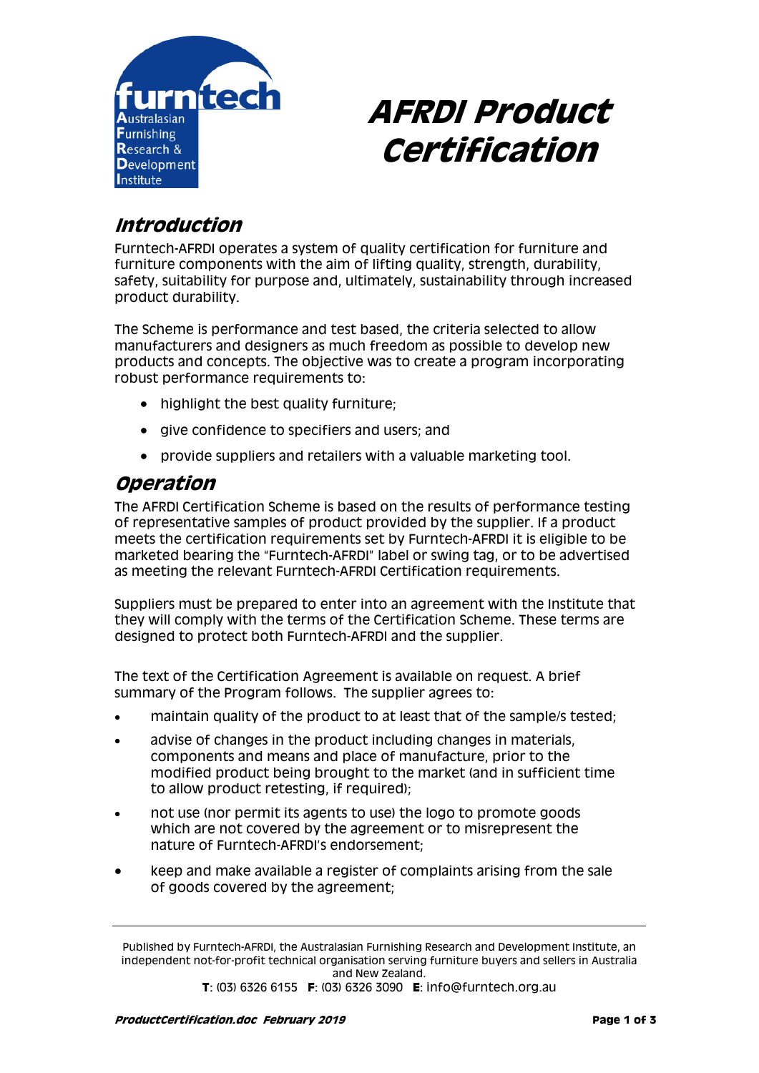

# **AFRDI Product Certification**

# **Introduction**

Furntech-AFRDI operates a system of quality certification for furniture and furniture components with the aim of lifting quality, strength, durability, safety, suitability for purpose and, ultimately, sustainability through increased product durability.

The Scheme is performance and test based, the criteria selected to allow manufacturers and designers as much freedom as possible to develop new products and concepts. The objective was to create a program incorporating robust performance requirements to:

- highlight the best quality furniture;
- give confidence to specifiers and users; and
- provide suppliers and retailers with a valuable marketing tool.

## **Operation**

The AFRDI Certification Scheme is based on the results of performance testing of representative samples of product provided by the supplier. If a product meets the certification requirements set by Furntech-AFRDI it is eligible to be marketed bearing the "Furntech-AFRDI" label or swing tag, or to be advertised as meeting the relevant Furntech-AFRDI Certification requirements.

Suppliers must be prepared to enter into an agreement with the Institute that they will comply with the terms of the Certification Scheme. These terms are designed to protect both Furntech-AFRDI and the supplier.

The text of the Certification Agreement is available on request. A brief summary of the Program follows. The supplier agrees to:

- maintain quality of the product to at least that of the sample/s tested;
- advise of changes in the product including changes in materials, components and means and place of manufacture, prior to the modified product being brought to the market (and in sufficient time to allow product retesting, if required);
- not use (nor permit its agents to use) the logo to promote goods which are not covered by the agreement or to misrepresent the nature of Furntech-AFRDI's endorsement;
- keep and make available a register of complaints arising from the sale of goods covered by the agreement;

Published by Furntech-AFRDI, the Australasian Furnishing Research and Development Institute, an independent not-for-profit technical organisation serving furniture buyers and sellers in Australia and New Zealand.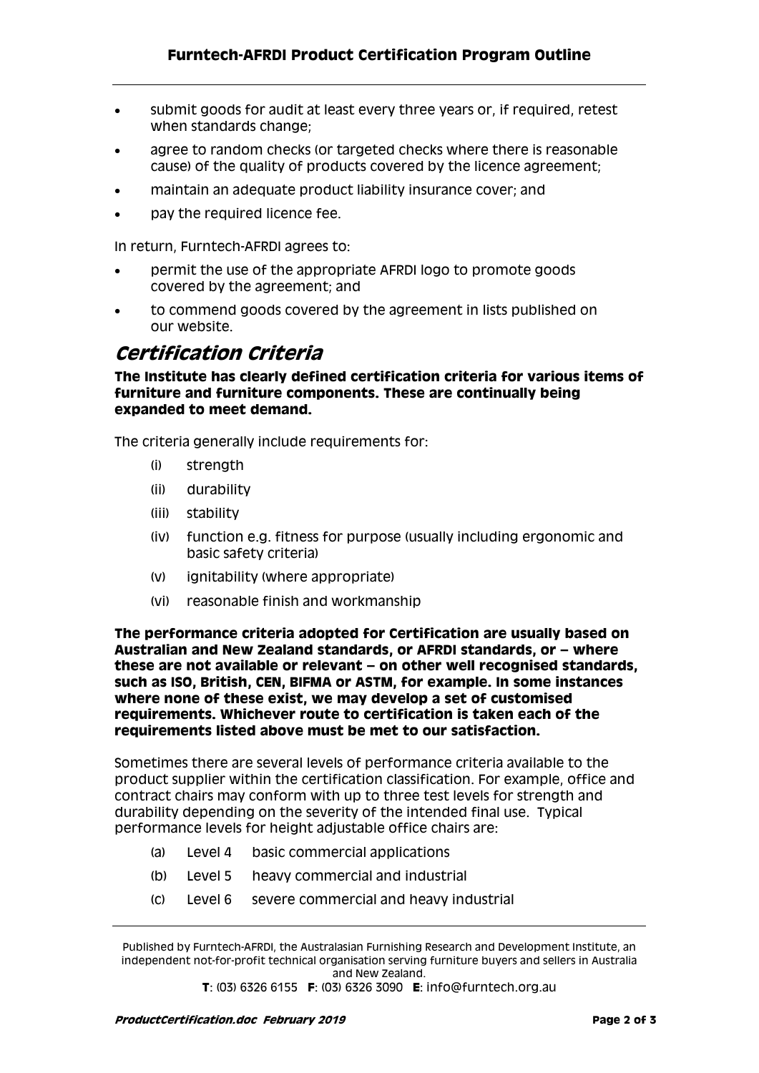- submit goods for audit at least every three years or, if required, retest when standards change;
- agree to random checks (or targeted checks where there is reasonable cause) of the quality of products covered by the licence agreement;
- maintain an adequate product liability insurance cover; and
- pay the required licence fee.

In return, Furntech-AFRDI agrees to:

- permit the use of the appropriate AFRDI logo to promote goods covered by the agreement; and
- to commend goods covered by the agreement in lists published on our website.

#### **Certification Criteria**

**The Institute has clearly defined certification criteria for various items of furniture and furniture components. These are continually being expanded to meet demand.** 

The criteria generally include requirements for:

- (i) strength
- (ii) durability
- (iii) stability
- (iv) function e.g. fitness for purpose (usually including ergonomic and basic safety criteria)
- (v) ignitability (where appropriate)
- (vi) reasonable finish and workmanship

**The performance criteria adopted for Certification are usually based on Australian and New Zealand standards, or AFRDI standards, or – where these are not available or relevant – on other well recognised standards, such as ISO, British, CEN, BIFMA or ASTM, for example. In some instances where none of these exist, we may develop a set of customised requirements. Whichever route to certification is taken each of the requirements listed above must be met to our satisfaction.** 

Sometimes there are several levels of performance criteria available to the product supplier within the certification classification. For example, office and contract chairs may conform with up to three test levels for strength and durability depending on the severity of the intended final use. Typical performance levels for height adjustable office chairs are:

- (a) Level 4 basic commercial applications
- (b) Level 5 heavy commercial and industrial
- (c) Level 6 severe commercial and heavy industrial

**T**: (03) 6326 6155 **F**: (03) 6326 3090 **E**: info@furntech.org.au

Published by Furntech-AFRDI, the Australasian Furnishing Research and Development Institute, an independent not-for-profit technical organisation serving furniture buyers and sellers in Australia and New Zealand.